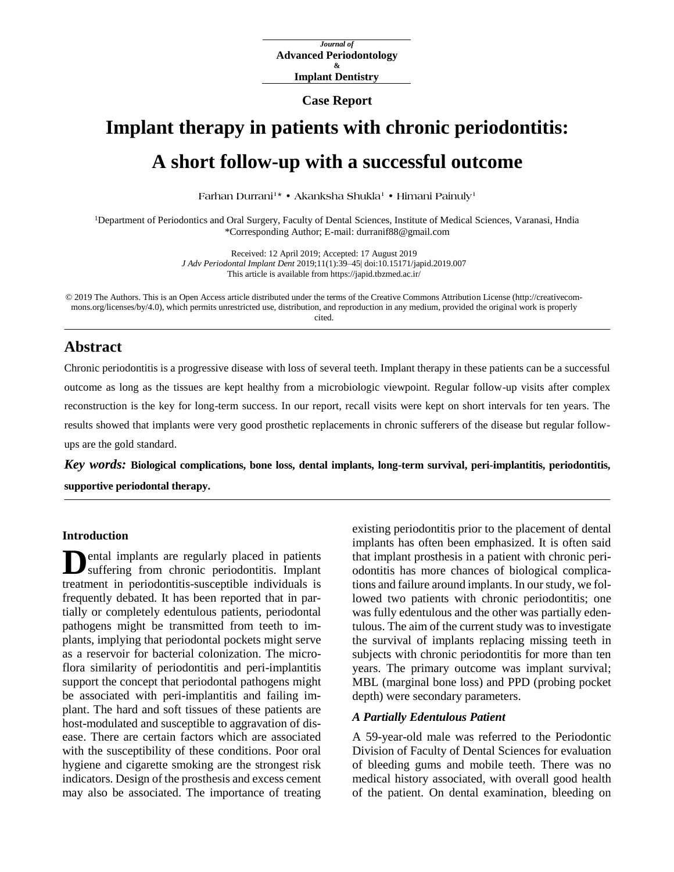**Case Report**

# **Implant therapy in patients with chronic periodontitis: A short follow-up with a successful outcome**

**Farhan Durrani<sup>1</sup> \* • Akanksha Shukla<sup>1</sup> • Himani Painuly<sup>1</sup>**

<sup>1</sup>Department of Periodontics and Oral Surgery, Faculty of Dental Sciences, Institute of Medical Sciences, Varanasi, Hndia \*Corresponding Author; E-mail: durranif88@gmail.com

> Received: 12 April 2019; Accepted: 17 August 2019 *J Adv Periodontal Implant Dent* 2019;11(1):39–45[| doi:10.15171/japid.2019.007](http://dx.doi.org/10.15171/japid.2019.007) This article is available from https://japid.tbzmed.ac.ir/

© 2019 The Authors. This is an Open Access article distributed under the terms of the Creative Commons Attribution License (http://creativecommons.org/licenses/by/4.0), which permits unrestricted use, distribution, and reproduction in any medium, provided the original work is properly cited.

## **Abstract**

Chronic periodontitis is a progressive disease with loss of several teeth. Implant therapy in these patients can be a successful outcome as long as the tissues are kept healthy from a microbiologic viewpoint. Regular follow-up visits after complex reconstruction is the key for long-term success. In our report, recall visits were kept on short intervals for ten years. The results showed that implants were very good prosthetic replacements in chronic sufferers of the disease but regular followups are the gold standard.

*Key words:* **Biological complications, bone loss, dental implants, long-term survival, peri-implantitis, periodontitis, supportive periodontal therapy.**

#### **Introduction**

ental implants are regularly placed in patients suffering from chronic periodontitis. Implant treatment in periodontitis-susceptible individuals is frequently debated. It has been reported that in partially or completely edentulous patients, periodontal pathogens might be transmitted from teeth to implants, implying that periodontal pockets might serve as a reservoir for bacterial colonization. The microflora similarity of periodontitis and peri-implantitis support the concept that periodontal pathogens might be associated with peri-implantitis and failing implant. The hard and soft tissues of these patients are host-modulated and susceptible to aggravation of disease. There are certain factors which are associated with the susceptibility of these conditions. Poor oral hygiene and cigarette smoking are the strongest risk indicators. Design of the prosthesis and excess cement may also be associated. The importance of treating **D**

existing periodontitis prior to the placement of dental implants has often been emphasized. It is often said that implant prosthesis in a patient with chronic periodontitis has more chances of biological complications and failure around implants. In our study, we followed two patients with chronic periodontitis; one was fully edentulous and the other was partially edentulous. The aim of the current study was to investigate the survival of implants replacing missing teeth in subjects with chronic periodontitis for more than ten years. The primary outcome was implant survival; MBL (marginal bone loss) and PPD (probing pocket depth) were secondary parameters.

#### *A Partially Edentulous Patient*

A 59-year-old male was referred to the Periodontic Division of Faculty of Dental Sciences for evaluation of bleeding gums and mobile teeth. There was no medical history associated, with overall good health of the patient. On dental examination, bleeding on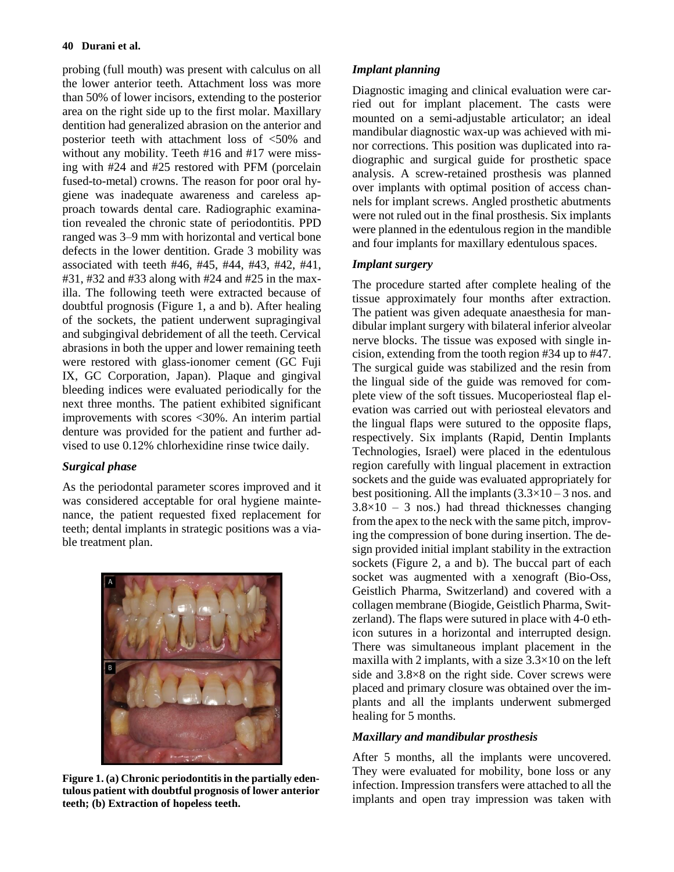probing (full mouth) was present with calculus on all the lower anterior teeth. Attachment loss was more than 50% of lower incisors, extending to the posterior area on the right side up to the first molar. Maxillary dentition had generalized abrasion on the anterior and posterior teeth with attachment loss of <50% and without any mobility. Teeth #16 and #17 were missing with #24 and #25 restored with PFM (porcelain fused-to-metal) crowns. The reason for poor oral hygiene was inadequate awareness and careless approach towards dental care. Radiographic examination revealed the chronic state of periodontitis. PPD ranged was 3‒9 mm with horizontal and vertical bone defects in the lower dentition. Grade 3 mobility was associated with teeth #46, #45, #44, #43, #42, #41, #31, #32 and #33 along with #24 and #25 in the maxilla. The following teeth were extracted because of doubtful prognosis (Figure 1, a and b). After healing of the sockets, the patient underwent supragingival and subgingival debridement of all the teeth. Cervical abrasions in both the upper and lower remaining teeth were restored with glass-ionomer cement (GC Fuji IX, GC Corporation, Japan). Plaque and gingival bleeding indices were evaluated periodically for the next three months. The patient exhibited significant improvements with scores <30%. An interim partial denture was provided for the patient and further advised to use 0.12% chlorhexidine rinse twice daily.

## *Surgical phase*

As the periodontal parameter scores improved and it was considered acceptable for oral hygiene maintenance, the patient requested fixed replacement for teeth; dental implants in strategic positions was a viable treatment plan.



**Figure 1. (a) Chronic periodontitis in the partially edentulous patient with doubtful prognosis of lower anterior teeth; (b) Extraction of hopeless teeth.**

## *Implant planning*

Diagnostic imaging and clinical evaluation were carried out for implant placement. The casts were mounted on a semi-adjustable articulator; an ideal mandibular diagnostic wax-up was achieved with minor corrections. This position was duplicated into radiographic and surgical guide for prosthetic space analysis. A screw-retained prosthesis was planned over implants with optimal position of access channels for implant screws. Angled prosthetic abutments were not ruled out in the final prosthesis. Six implants were planned in the edentulous region in the mandible and four implants for maxillary edentulous spaces.

## *Implant surgery*

The procedure started after complete healing of the tissue approximately four months after extraction. The patient was given adequate anaesthesia for mandibular implant surgery with bilateral inferior alveolar nerve blocks. The tissue was exposed with single incision, extending from the tooth region #34 up to #47. The surgical guide was stabilized and the resin from the lingual side of the guide was removed for complete view of the soft tissues. Mucoperiosteal flap elevation was carried out with periosteal elevators and the lingual flaps were sutured to the opposite flaps, respectively. Six implants (Rapid, Dentin Implants Technologies, Israel) were placed in the edentulous region carefully with lingual placement in extraction sockets and the guide was evaluated appropriately for best positioning. All the implants  $(3.3\times10-3$  nos. and  $3.8\times10 - 3$  nos.) had thread thicknesses changing from the apex to the neck with the same pitch, improving the compression of bone during insertion. The design provided initial implant stability in the extraction sockets (Figure 2, a and b). The buccal part of each socket was augmented with a xenograft (Bio-Oss, Geistlich Pharma, Switzerland) and covered with a collagen membrane (Biogide, Geistlich Pharma, Switzerland). The flaps were sutured in place with 4-0 ethicon sutures in a horizontal and interrupted design. There was simultaneous implant placement in the maxilla with 2 implants, with a size  $3.3\times10$  on the left side and 3.8×8 on the right side. Cover screws were placed and primary closure was obtained over the implants and all the implants underwent submerged healing for 5 months.

## *Maxillary and mandibular prosthesis*

After 5 months, all the implants were uncovered. They were evaluated for mobility, bone loss or any infection. Impression transfers were attached to all the implants and open tray impression was taken with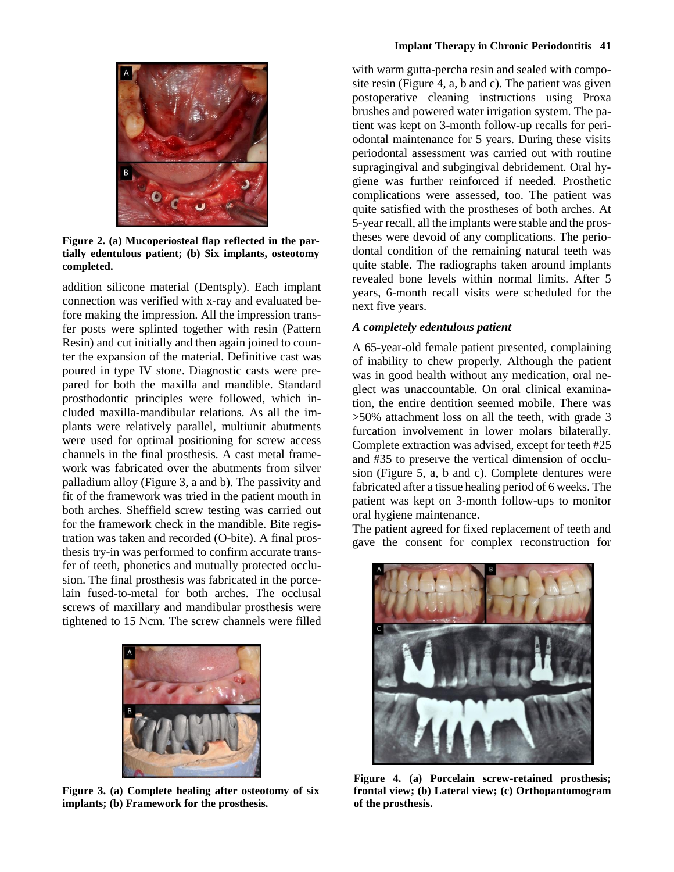

**Figure 2. (a) Mucoperiosteal flap reflected in the partially edentulous patient; (b) Six implants, osteotomy completed.**

addition silicone material (Dentsply). Each implant connection was verified with x-ray and evaluated before making the impression. All the impression transfer posts were splinted together with resin (Pattern Resin) and cut initially and then again joined to counter the expansion of the material. Definitive cast was poured in type IV stone. Diagnostic casts were prepared for both the maxilla and mandible. Standard prosthodontic principles were followed, which included maxilla-mandibular relations. As all the implants were relatively parallel, multiunit abutments were used for optimal positioning for screw access channels in the final prosthesis. A cast metal framework was fabricated over the abutments from silver palladium alloy (Figure 3, a and b). The passivity and fit of the framework was tried in the patient mouth in both arches. Sheffield screw testing was carried out for the framework check in the mandible. Bite registration was taken and recorded (O-bite). A final prosthesis try-in was performed to confirm accurate transfer of teeth, phonetics and mutually protected occlusion. The final prosthesis was fabricated in the porcelain fused-to-metal for both arches. The occlusal screws of maxillary and mandibular prosthesis were tightened to 15 Ncm. The screw channels were filled



**Figure 3. (a) Complete healing after osteotomy of six implants; (b) Framework for the prosthesis.**

with warm gutta-percha resin and sealed with composite resin (Figure 4, a, b and c). The patient was given postoperative cleaning instructions using Proxa brushes and powered water irrigation system. The patient was kept on 3-month follow-up recalls for periodontal maintenance for 5 years. During these visits periodontal assessment was carried out with routine supragingival and subgingival debridement. Oral hygiene was further reinforced if needed. Prosthetic complications were assessed, too. The patient was quite satisfied with the prostheses of both arches. At 5-year recall, all the implants were stable and the prostheses were devoid of any complications. The periodontal condition of the remaining natural teeth was quite stable. The radiographs taken around implants revealed bone levels within normal limits. After 5 years, 6-month recall visits were scheduled for the next five years.

### *A completely edentulous patient*

A 65-year-old female patient presented, complaining of inability to chew properly. Although the patient was in good health without any medication, oral neglect was unaccountable. On oral clinical examination, the entire dentition seemed mobile. There was >50% attachment loss on all the teeth, with grade 3 furcation involvement in lower molars bilaterally. Complete extraction was advised, except for teeth #25 and #35 to preserve the vertical dimension of occlusion (Figure 5, a, b and c). Complete dentures were fabricated after a tissue healing period of 6 weeks. The patient was kept on 3-month follow-ups to monitor oral hygiene maintenance.

The patient agreed for fixed replacement of teeth and gave the consent for complex reconstruction for



**Figure 4. (a) Porcelain screw-retained prosthesis; frontal view; (b) Lateral view; (c) Orthopantomogram of the prosthesis.**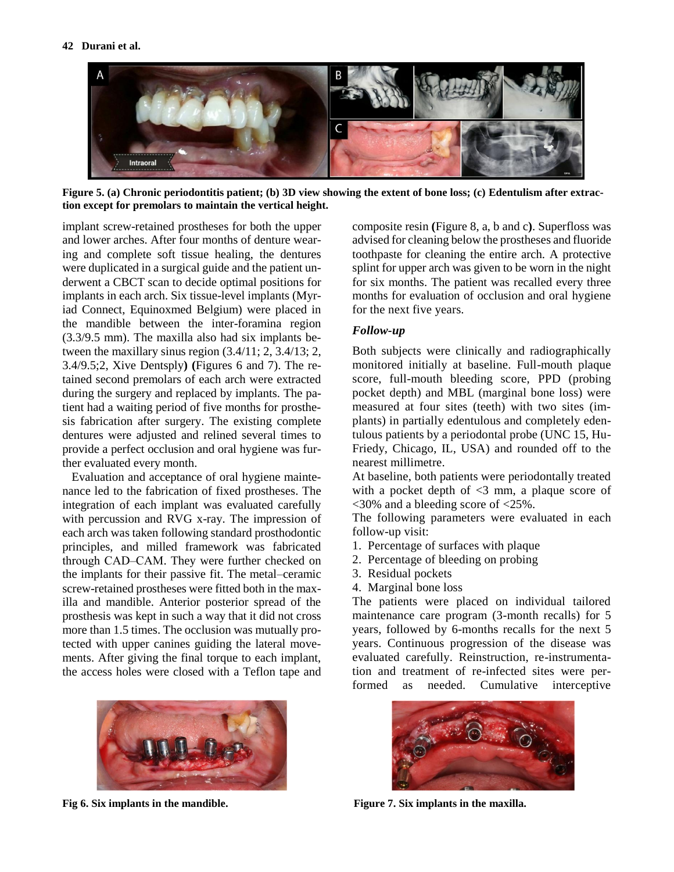

**Figure 5. (a) Chronic periodontitis patient; (b) 3D view showing the extent of bone loss; (c) Edentulism after extraction except for premolars to maintain the vertical height.**

implant screw-retained prostheses for both the upper and lower arches. After four months of denture wearing and complete soft tissue healing, the dentures were duplicated in a surgical guide and the patient underwent a CBCT scan to decide optimal positions for implants in each arch. Six tissue-level implants (Myriad Connect, Equinoxmed Belgium) were placed in the mandible between the inter-foramina region (3.3/9.5 mm). The maxilla also had six implants between the maxillary sinus region (3.4/11; 2, 3.4/13; 2, 3.4/9.5;2, Xive Dentsply**) (**Figures 6 and 7). The retained second premolars of each arch were extracted during the surgery and replaced by implants. The patient had a waiting period of five months for prosthesis fabrication after surgery. The existing complete dentures were adjusted and relined several times to provide a perfect occlusion and oral hygiene was further evaluated every month.

Evaluation and acceptance of oral hygiene maintenance led to the fabrication of fixed prostheses. The integration of each implant was evaluated carefully with percussion and RVG x-ray. The impression of each arch was taken following standard prosthodontic principles, and milled framework was fabricated through CAD–CAM. They were further checked on the implants for their passive fit. The metal–ceramic screw-retained prostheses were fitted both in the maxilla and mandible. Anterior posterior spread of the prosthesis was kept in such a way that it did not cross more than 1.5 times. The occlusion was mutually protected with upper canines guiding the lateral movements. After giving the final torque to each implant, the access holes were closed with a Teflon tape and



**Fig 6. Six implants in the mandible.**

composite resin **(**Figure 8, a, b and c**)**. Superfloss was advised for cleaning below the prostheses and fluoride toothpaste for cleaning the entire arch. A protective splint for upper arch was given to be worn in the night for six months. The patient was recalled every three months for evaluation of occlusion and oral hygiene for the next five years.

### *Follow-up*

Both subjects were clinically and radiographically monitored initially at baseline. Full-mouth plaque score, full-mouth bleeding score, PPD (probing pocket depth) and MBL (marginal bone loss) were measured at four sites (teeth) with two sites (implants) in partially edentulous and completely edentulous patients by a periodontal probe (UNC 15, Hu-Friedy, Chicago, IL, USA) and rounded off to the nearest millimetre.

At baseline, both patients were periodontally treated with a pocket depth of  $\leq$ 3 mm, a plaque score of <30% and a bleeding score of <25%.

The following parameters were evaluated in each follow-up visit:

- 1. Percentage of surfaces with plaque
- 2. Percentage of bleeding on probing
- 3. Residual pockets
- 4. Marginal bone loss

The patients were placed on individual tailored maintenance care program (3-month recalls) for 5 years, followed by 6-months recalls for the next 5 years. Continuous progression of the disease was evaluated carefully. Reinstruction, re-instrumentation and treatment of re-infected sites were performed as needed. Cumulative interceptive



**Figure 7. Six implants in the maxilla.**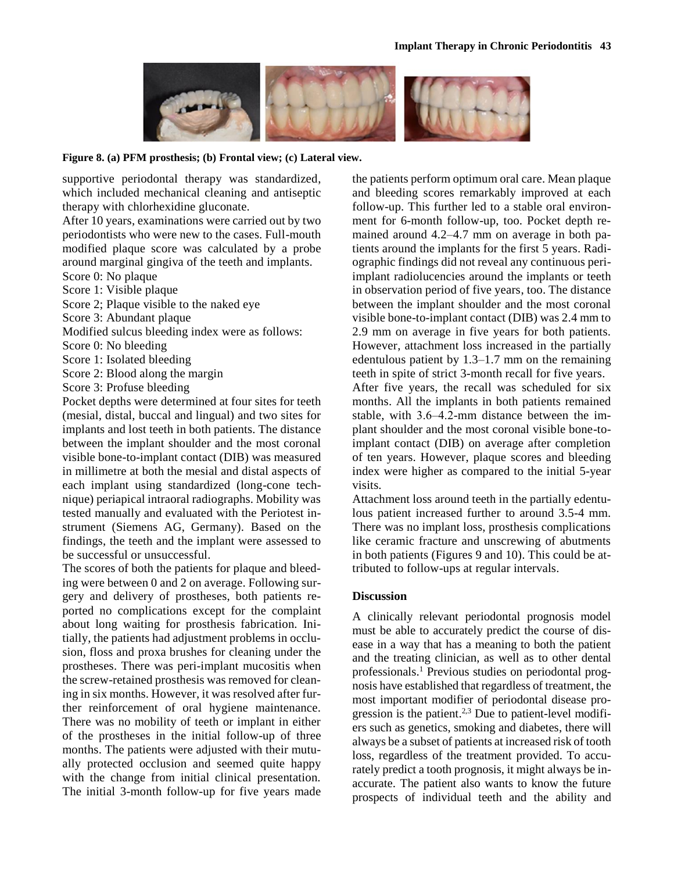

**Figure 8. (a) PFM prosthesis; (b) Frontal view; (c) Lateral view.**

supportive periodontal therapy was standardized, which included mechanical cleaning and antiseptic therapy with chlorhexidine gluconate.

After 10 years, examinations were carried out by two periodontists who were new to the cases. Full-mouth modified plaque score was calculated by a probe around marginal gingiva of the teeth and implants.

Score 0: No plaque

Score 1: Visible plaque

Score 2; Plaque visible to the naked eye

Score 3: Abundant plaque

Modified sulcus bleeding index were as follows:

Score 0: No bleeding

Score 1: Isolated bleeding

Score 2: Blood along the margin

Score 3: Profuse bleeding

Pocket depths were determined at four sites for teeth (mesial, distal, buccal and lingual) and two sites for implants and lost teeth in both patients. The distance between the implant shoulder and the most coronal visible bone-to-implant contact (DIB) was measured in millimetre at both the mesial and distal aspects of each implant using standardized (long-cone technique) periapical intraoral radiographs. Mobility was tested manually and evaluated with the Periotest instrument (Siemens AG, Germany). Based on the findings, the teeth and the implant were assessed to be successful or unsuccessful.

The scores of both the patients for plaque and bleeding were between 0 and 2 on average. Following surgery and delivery of prostheses, both patients reported no complications except for the complaint about long waiting for prosthesis fabrication. Initially, the patients had adjustment problems in occlusion, floss and proxa brushes for cleaning under the prostheses. There was peri-implant mucositis when the screw-retained prosthesis was removed for cleaning in six months. However, it was resolved after further reinforcement of oral hygiene maintenance. There was no mobility of teeth or implant in either of the prostheses in the initial follow-up of three months. The patients were adjusted with their mutually protected occlusion and seemed quite happy with the change from initial clinical presentation. The initial 3-month follow-up for five years made the patients perform optimum oral care. Mean plaque and bleeding scores remarkably improved at each follow-up. This further led to a stable oral environment for 6-month follow-up, too. Pocket depth remained around 4.2–4.7 mm on average in both patients around the implants for the first 5 years. Radiographic findings did not reveal any continuous periimplant radiolucencies around the implants or teeth in observation period of five years, too. The distance between the implant shoulder and the most coronal visible bone-to-implant contact (DIB) was 2.4 mm to 2.9 mm on average in five years for both patients. However, attachment loss increased in the partially edentulous patient by  $1.3-1.7$  mm on the remaining teeth in spite of strict 3-month recall for five years.

After five years, the recall was scheduled for six months. All the implants in both patients remained stable, with 3.6–4.2-mm distance between the implant shoulder and the most coronal visible bone-toimplant contact (DIB) on average after completion of ten years. However, plaque scores and bleeding index were higher as compared to the initial 5-year visits.

Attachment loss around teeth in the partially edentulous patient increased further to around 3.5-4 mm. There was no implant loss, prosthesis complications like ceramic fracture and unscrewing of abutments in both patients (Figures 9 and 10). This could be attributed to follow-ups at regular intervals.

### **Discussion**

A clinically relevant periodontal prognosis model must be able to accurately predict the course of disease in a way that has a meaning to both the patient and the treating clinician, as well as to other dental professionals. <sup>1</sup> Previous studies on periodontal prognosis have established that regardless of treatment, the most important modifier of periodontal disease progression is the patient.<sup>2,3</sup> Due to patient-level modifiers such as genetics, smoking and diabetes, there will always be a subset of patients at increased risk of tooth loss, regardless of the treatment provided. To accurately predict a tooth prognosis, it might always be inaccurate. The patient also wants to know the future prospects of individual teeth and the ability and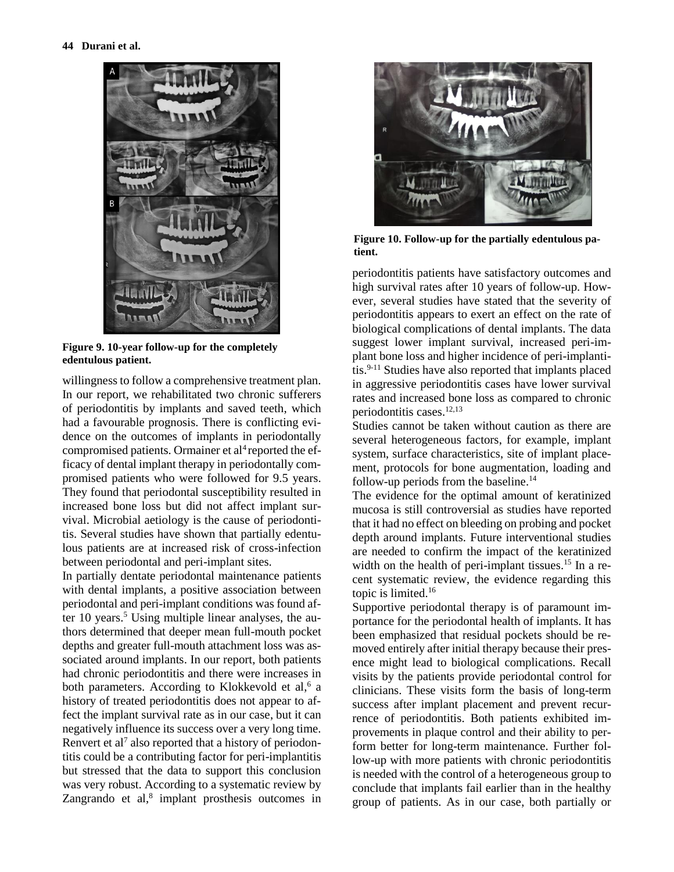

**Figure 9. 10-year follow-up for the completely edentulous patient.**

willingness to follow a comprehensive treatment plan. In our report, we rehabilitated two chronic sufferers of periodontitis by implants and saved teeth, which had a favourable prognosis. There is conflicting evidence on the outcomes of implants in periodontally compromised patients. Ormainer et al<sup>4</sup> reported the efficacy of dental implant therapy in periodontally compromised patients who were followed for 9.5 years. They found that periodontal susceptibility resulted in increased bone loss but did not affect implant survival. Microbial aetiology is the cause of periodontitis. Several studies have shown that partially edentulous patients are at increased risk of cross-infection between periodontal and peri-implant sites.

In partially dentate periodontal maintenance patients with dental implants, a positive association between periodontal and peri-implant conditions was found after 10 years. <sup>5</sup> Using multiple linear analyses, the authors determined that deeper mean full-mouth pocket depths and greater full-mouth attachment loss was associated around implants. In our report, both patients had chronic periodontitis and there were increases in both parameters. According to Klokkevold et al,<sup>6</sup> a history of treated periodontitis does not appear to affect the implant survival rate as in our case, but it can negatively influence its success over a very long time. Renvert et al<sup>7</sup> also reported that a history of periodontitis could be a contributing factor for peri-implantitis but stressed that the data to support this conclusion was very robust. According to a systematic review by Zangrando et al,<sup>8</sup> implant prosthesis outcomes in



**Figure 10. Follow-up for the partially edentulous patient.**

periodontitis patients have satisfactory outcomes and high survival rates after 10 years of follow-up. However, several studies have stated that the severity of periodontitis appears to exert an effect on the rate of biological complications of dental implants. The data suggest lower implant survival, increased peri-implant bone loss and higher incidence of peri-implantitis. 9-11 Studies have also reported that implants placed in aggressive periodontitis cases have lower survival rates and increased bone loss as compared to chronic periodontitis cases. 12,13

Studies cannot be taken without caution as there are several heterogeneous factors, for example, implant system, surface characteristics, site of implant placement, protocols for bone augmentation, loading and follow-up periods from the baseline. 14

The evidence for the optimal amount of keratinized mucosa is still controversial as studies have reported that it had no effect on bleeding on probing and pocket depth around implants. Future interventional studies are needed to confirm the impact of the keratinized width on the health of peri-implant tissues.<sup>15</sup> In a recent systematic review, the evidence regarding this topic is limited. 16

Supportive periodontal therapy is of paramount importance for the periodontal health of implants. It has been emphasized that residual pockets should be removed entirely after initial therapy because their presence might lead to biological complications. Recall visits by the patients provide periodontal control for clinicians. These visits form the basis of long-term success after implant placement and prevent recurrence of periodontitis. Both patients exhibited improvements in plaque control and their ability to perform better for long-term maintenance. Further follow-up with more patients with chronic periodontitis is needed with the control of a heterogeneous group to conclude that implants fail earlier than in the healthy group of patients. As in our case, both partially or